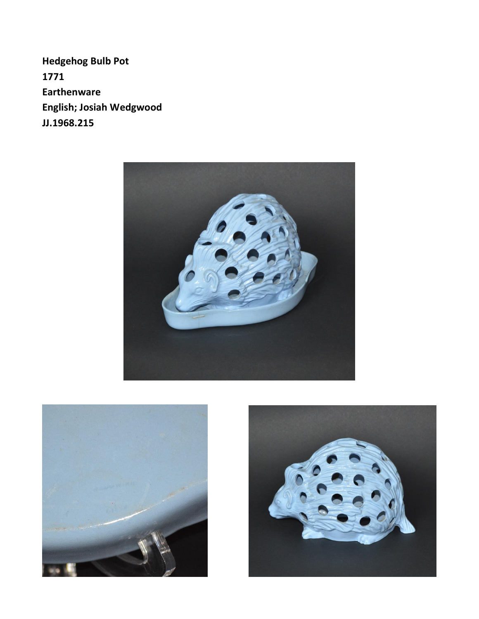**Hedgehog Bulb Pot** 1771 **Earthenware** English; Josiah Wedgwood JJ.1968.215